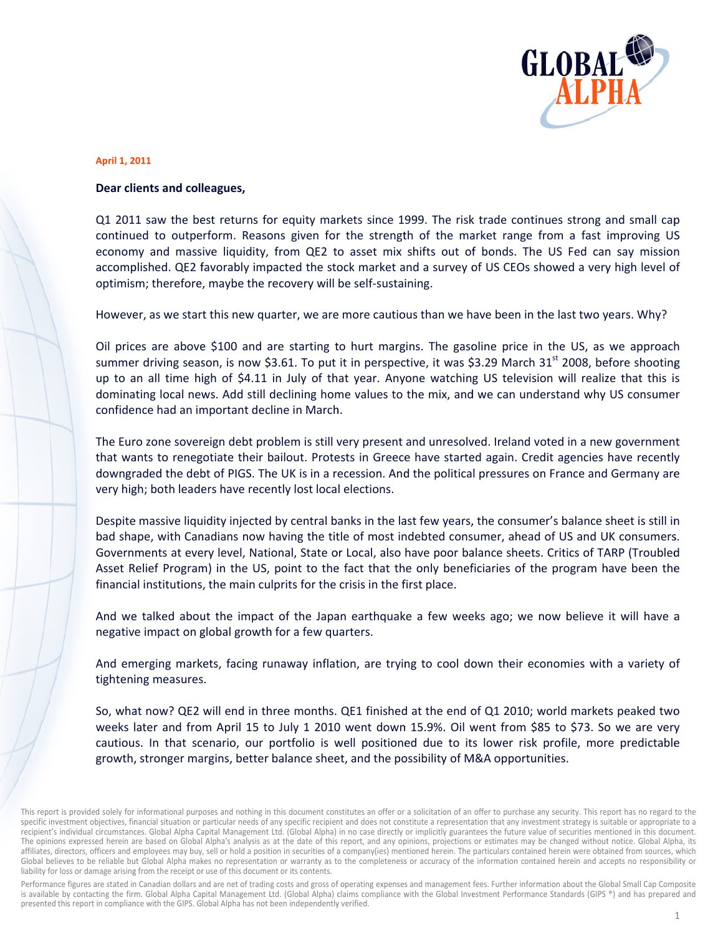

#### **April 1, 2011**

#### Dear clients and colleagues,

Q1 2011 saw the best returns for equity markets since 1999. The risk trade continues strong and small cap continued to outperform. Reasons given for the strength of the market range from a fast improving US economy and massive liquidity, from QE2 to asset mix shifts out of bonds. The US Fed can say mission accomplished. QE2 favorably impacted the stock market and a survey of US CEOs showed a very high level of optimism; therefore, maybe the recovery will be self-sustaining.

However, as we start this new quarter, we are more cautious than we have been in the last two years. Why?

Oil prices are above \$100 and are starting to hurt margins. The gasoline price in the US, as we approach summer driving season, is now \$3.61. To put it in perspective, it was \$3.29 March 31<sup>st</sup> 2008, before shooting up to an all time high of \$4.11 in July of that year. Anyone watching US television will realize that this is dominating local news. Add still declining home values to the mix, and we can understand why US consumer confidence had an important decline in March.

The Euro zone sovereign debt problem is still very present and unresolved. Ireland voted in a new government that wants to renegotiate their bailout. Protests in Greece have started again. Credit agencies have recently downgraded the debt of PIGS. The UK is in a recession. And the political pressures on France and Germany are very high; both leaders have recently lost local elections.

Despite massive liquidity injected by central banks in the last few years, the consumer's balance sheet is still in bad shape, with Canadians now having the title of most indebted consumer, ahead of US and UK consumers. Governments at every level, National, State or Local, also have poor balance sheets. Critics of TARP (Troubled Asset Relief Program) in the US, point to the fact that the only beneficiaries of the program have been the financial institutions, the main culprits for the crisis in the first place.

And we talked about the impact of the Japan earthquake a few weeks ago; we now believe it will have a negative impact on global growth for a few quarters.

And emerging markets, facing runaway inflation, are trying to cool down their economies with a variety of tightening measures.

So, what now? QE2 will end in three months. QE1 finished at the end of Q1 2010; world markets peaked two weeks later and from April 15 to July 1 2010 went down 15.9%. Oil went from \$85 to \$73. So we are very cautious. In that scenario, our portfolio is well positioned due to its lower risk profile, more predictable growth, stronger margins, better balance sheet, and the possibility of M&A opportunities.

Performance figures are stated in Canadian dollars and are net of trading costs and gross of operating expenses and management fees. Further information about the Global Small Cap Composite is available by contacting the firm. Global Alpha Capital Management Ltd. (Global Alpha) claims compliance with the Global Investment Performance Standards (GIPS ®) and has prepared and presented this report in compliance with the GIPS. Global Alpha has not been independently verified.

This report is provided solely for informational purposes and nothing in this document constitutes an offer or a solicitation of an offer to purchase any security. This report has no regard to the specific investment objectives, financial situation or particular needs of any specific recipient and does not constitute a representation that any investment strategy is suitable or appropriate to a recipient's individual circumstances. Global Alpha Capital Management Ltd. (Global Alpha) in no case directly or implicitly guarantees the future value of securities mentioned in this document. The opinions expressed herein are based on Global Alpha's analysis as at the date of this report, and any opinions, projections or estimates may be changed without notice. Global Alpha, its affiliates, directors, officers and employees may buy, sell or hold a position in securities of a company(ies) mentioned herein. The particulars contained herein were obtained from sources, which Global believes to be reliable but Global Alpha makes no representation or warranty as to the completeness or accuracy of the information contained herein and accepts no responsibility or liability for loss or damage arising from the receipt or use of this document or its contents.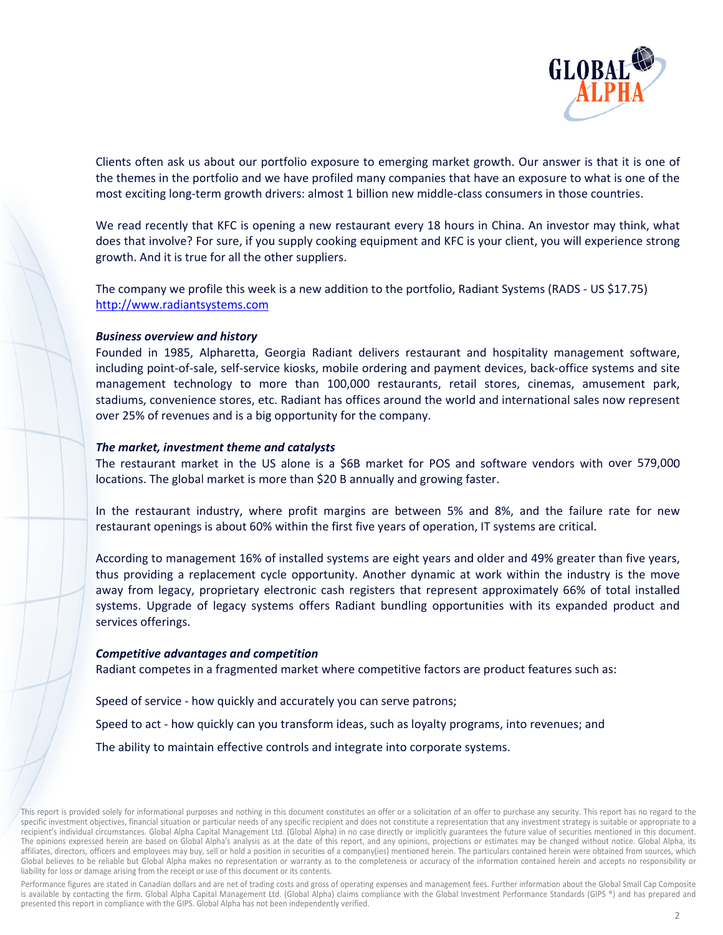

Clients often ask us about our portfolio exposure to emerging market growth. Our answer is that it is one of the themes in the portfolio and we have profiled many companies that have an exposure to what is one of the most exciting long-term growth drivers: almost 1 billion new middle-class consumers in those countries.

We read recently that KFC is opening a new restaurant every 18 hours in China. An investor may think, what does that involve? For sure, if you supply cooking equipment and KFC is your client, you will experience strong growth. And it is true for all the other suppliers.

The company we profile this week is a new addition to the portfolio, Radiant Systems (RADS - US \$17.75) http://www.radiantsystems.com

#### **Business overview and history**

Founded in 1985, Alpharetta, Georgia Radiant delivers restaurant and hospitality management software, including point-of-sale, self-service kiosks, mobile ordering and payment devices, back-office systems and site management technology to more than 100,000 restaurants, retail stores, cinemas, amusement park, stadiums, convenience stores, etc. Radiant has offices around the world and international sales now represent over 25% of revenues and is a big opportunity for the company.

#### The market, investment theme and catalysts

The restaurant market in the US alone is a \$6B market for POS and software vendors with over 579,000 locations. The global market is more than \$20 B annually and growing faster.

In the restaurant industry, where profit margins are between 5% and 8%, and the failure rate for new restaurant openings is about 60% within the first five years of operation, IT systems are critical.

According to management 16% of installed systems are eight years and older and 49% greater than five years, thus providing a replacement cycle opportunity. Another dynamic at work within the industry is the move away from legacy, proprietary electronic cash registers that represent approximately 66% of total installed systems. Upgrade of legacy systems offers Radiant bundling opportunities with its expanded product and services offerings.

#### **Competitive advantages and competition**

Radiant competes in a fragmented market where competitive factors are product features such as:

Speed of service - how quickly and accurately you can serve patrons; Speed to act - how quickly can you transform ideas, such as loyalty programs, into revenues; and The ability to maintain effective controls and integrate into corporate systems.

This report is provided solely for informational purposes and nothing in this document constitutes an offer or a solicitation of an offer to purchase any security. This report has no regard to the specific investment objectives, financial situation or particular needs of any specific recipient and does not constitute a representation that any investment strategy is suitable or appropriate to a recipient's individual circumstances. Global Alpha Capital Management Ltd. (Global Alpha) in no case directly or implicitly guarantees the future value of securities mentioned in this document. The opinions expressed herein are based on Global Alpha's analysis as at the date of this report, and any opinions, projections or estimates may be changed without notice. Global Alpha, its affiliates, directors, officers and employees may buy, sell or hold a position in securities of a company(ies) mentioned herein. The particulars contained herein were obtained from sources, which Global believes to be reliable but Global Alpha makes no representation or warranty as to the completeness or accuracy of the information contained herein and accepts no responsibility or liability for loss or damage arising from the receipt or use of this document or its contents.

Performance figures are stated in Canadian dollars and are net of trading costs and gross of operating expenses and management fees. Further information about the Global Small Cap Composite is available by contacting the firm. Global Alpha Capital Management Ltd. (Global Alpha) claims compliance with the Global Investment Performance Standards (GIPS ®) and has prepared and presented this report in compliance with the GIPS. Global Alpha has not been independently verified.